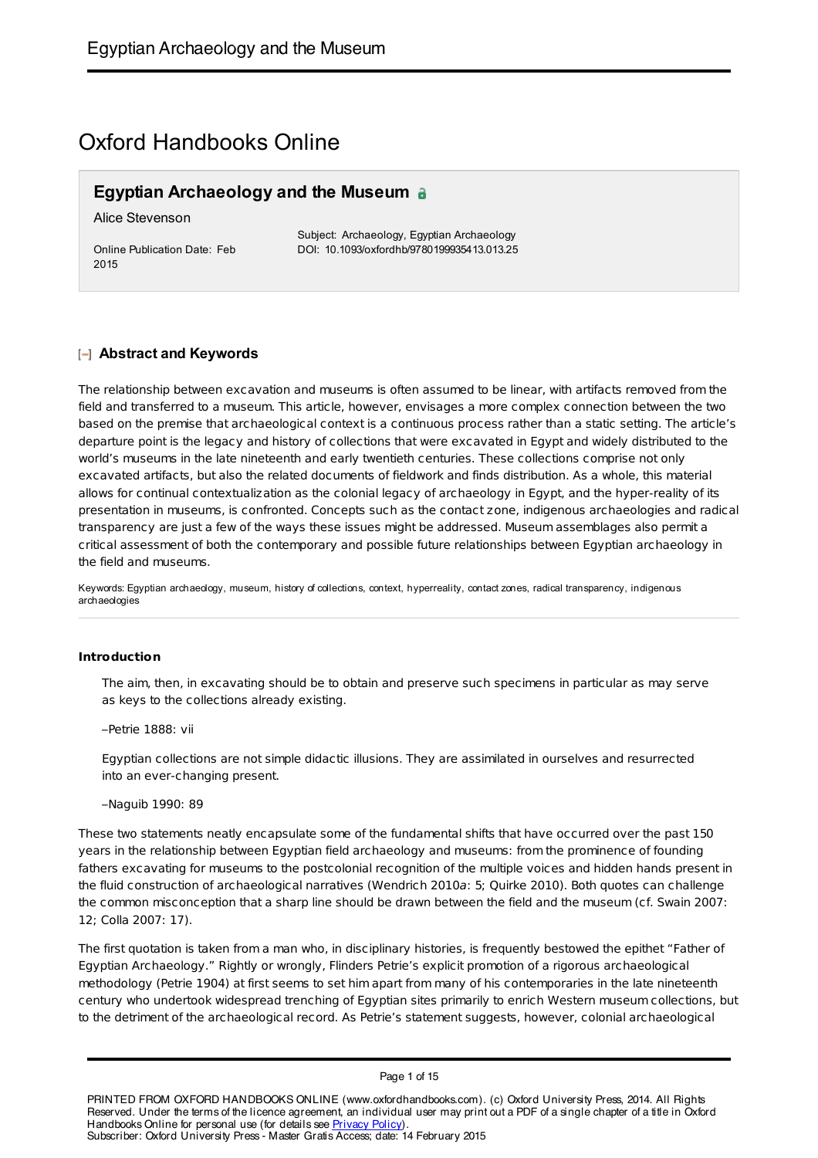# Oxford Handbooks Online

### **Egyptian Archaeology and the Museum**

Alice Stevenson

Online Publication Date: Feb 2015

Subject: Archaeology, Egyptian Archaeology DOI: 10.1093/oxfordhb/9780199935413.013.25

#### **Abstract and Keywords**

The relationship between excavation and museums is often assumed to be linear, with artifacts removed from the field and transferred to a museum. This article, however, envisages a more complex connection between the two based on the premise that archaeological context is a continuous process rather than a static setting. The article's departure point is the legacy and history of collections that were excavated in Egypt and widely distributed to the world's museums in the late nineteenth and early twentieth centuries. These collections comprise not only excavated artifacts, but also the related documents of fieldwork and finds distribution. As a whole, this material allows for continual contextualization as the colonial legacy of archaeology in Egypt, and the hyper-reality of its presentation in museums, is confronted. Concepts such as the contact zone, indigenous archaeologies and radical transparency are just a few of the ways these issues might be addressed. Museum assemblages also permit a critical assessment of both the contemporary and possible future relationships between Egyptian archaeology in the field and museums.

Keywords: Egyptian archaeology, museum, history of collections, context, hyperreality, contact zones, radical transparency, indigenous archaeologies

#### **Introduction**

The aim, then, in excavating should be to obtain and preserve such specimens in particular as may serve as keys to the collections already existing.

–Petrie 1888: vii

Egyptian collections are not simple didactic illusions. They are assimilated in ourselves and resurrected into an ever-changing present.

–Naguib 1990: 89

These two statements neatly encapsulate some of the fundamental shifts that have occurred over the past 150 years in the relationship between Egyptian field archaeology and museums: from the prominence of founding fathers excavating for museums to the postcolonial recognition of the multiple voices and hidden hands present in the fluid construction of archaeological narratives (Wendrich 2010a: 5; Quirke 2010). Both quotes can challenge the common misconception that a sharp line should be drawn between the field and the museum (cf. Swain 2007: 12; Colla 2007: 17).

The first quotation is taken from a man who, in disciplinary histories, is frequently bestowed the epithet "Father of Egyptian Archaeology." Rightly or wrongly, Flinders Petrie's explicit promotion of a rigorous archaeological methodology (Petrie 1904) at first seems to set him apart from many of his contemporaries in the late nineteenth century who undertook widespread trenching of Egyptian sites primarily to enrich Western museum collections, but to the detriment of the archaeological record. As Petrie's statement suggests, however, colonial archaeological

PRINTED FROM OXFORD HANDBOOKS ONLINE (www.oxfordhandbooks.com). (c) Oxford University Press, 2014. All Rights Reserved. Under the terms of the licence agreement, an individual user may print out a PDF of a single chapter of a title in Oxford Handbooks Online for personal use (for details see Privacy Policy) Subscriber: Oxford University Press - Master Gratis Access; date: 14 February 2015

Page 1 of 15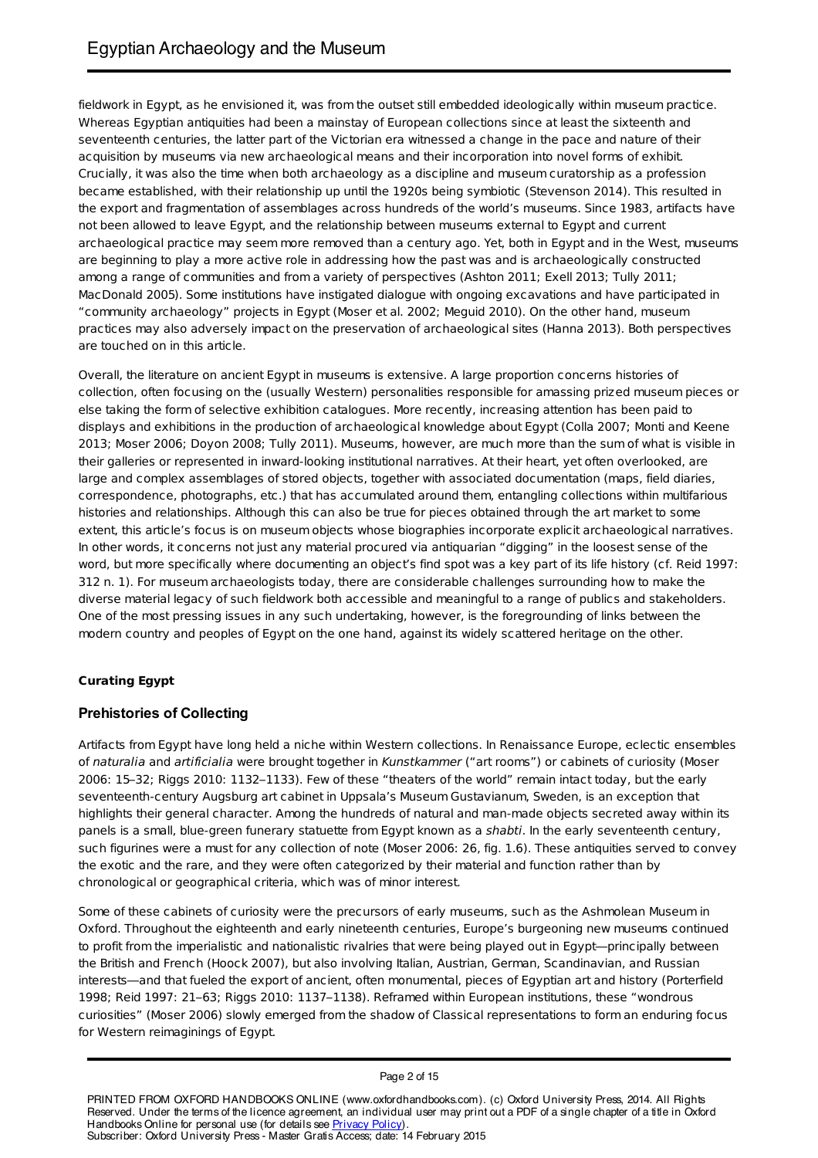fieldwork in Egypt, as he envisioned it, was from the outset still embedded ideologically within museum practice. Whereas Egyptian antiquities had been a mainstay of European collections since at least the sixteenth and seventeenth centuries, the latter part of the Victorian era witnessed a change in the pace and nature of their acquisition by museums via new archaeological means and their incorporation into novel forms of exhibit. Crucially, it was also the time when both archaeology as a discipline and museum curatorship as a profession became established, with their relationship up until the 1920s being symbiotic (Stevenson 2014). This resulted in the export and fragmentation of assemblages across hundreds of the world's museums. Since 1983, artifacts have not been allowed to leave Egypt, and the relationship between museums external to Egypt and current archaeological practice may seem more removed than a century ago. Yet, both in Egypt and in the West, museums are beginning to play a more active role in addressing how the past was and is archaeologically constructed among a range of communities and from a variety of perspectives (Ashton 2011; Exell 2013; Tully 2011; MacDonald 2005). Some institutions have instigated dialogue with ongoing excavations and have participated in "community archaeology" projects in Egypt (Moser et al. 2002; Meguid 2010). On the other hand, museum practices may also adversely impact on the preservation of archaeological sites (Hanna 2013). Both perspectives are touched on in this article.

Overall, the literature on ancient Egypt in museums is extensive. A large proportion concerns histories of collection, often focusing on the (usually Western) personalities responsible for amassing prized museum pieces or else taking the form of selective exhibition catalogues. More recently, increasing attention has been paid to displays and exhibitions in the production of archaeological knowledge about Egypt (Colla 2007; Monti and Keene 2013; Moser 2006; Doyon 2008; Tully 2011). Museums, however, are much more than the sum of what is visible in their galleries or represented in inward-looking institutional narratives. At their heart, yet often overlooked, are large and complex assemblages of stored objects, together with associated documentation (maps, field diaries, correspondence, photographs, etc.) that has accumulated around them, entangling collections within multifarious histories and relationships. Although this can also be true for pieces obtained through the art market to some extent, this article's focus is on museum objects whose biographies incorporate explicit archaeological narratives. In other words, it concerns not just any material procured via antiquarian "digging" in the loosest sense of the word, but more specifically where documenting an object's find spot was a key part of its life history (cf. Reid 1997: 312 n. 1). For museum archaeologists today, there are considerable challenges surrounding how to make the diverse material legacy of such fieldwork both accessible and meaningful to a range of publics and stakeholders. One of the most pressing issues in any such undertaking, however, is the foregrounding of links between the modern country and peoples of Egypt on the one hand, against its widely scattered heritage on the other.

### **Curating Egypt**

### **Prehistories of Collecting**

Artifacts from Egypt have long held a niche within Western collections. In Renaissance Europe, eclectic ensembles of naturalia and artificialia were brought together in Kunstkammer ("art rooms") or cabinets of curiosity (Moser 2006: 15–32; Riggs 2010: 1132–1133). Few of these "theaters of the world" remain intact today, but the early seventeenth-century Augsburg art cabinet in Uppsala's Museum Gustavianum, Sweden, is an exception that highlights their general character. Among the hundreds of natural and man-made objects secreted away within its panels is a small, blue-green funerary statuette from Egypt known as a shabti. In the early seventeenth century, such figurines were a must for any collection of note (Moser 2006: 26, fig. 1.6). These antiquities served to convey the exotic and the rare, and they were often categorized by their material and function rather than by chronological or geographical criteria, which was of minor interest.

Some of these cabinets of curiosity were the precursors of early museums, such as the Ashmolean Museum in Oxford. Throughout the eighteenth and early nineteenth centuries, Europe's burgeoning new museums continued to profit from the imperialistic and nationalistic rivalries that were being played out in Egypt—principally between the British and French (Hoock 2007), but also involving Italian, Austrian, German, Scandinavian, and Russian interests—and that fueled the export of ancient, often monumental, pieces of Egyptian art and history (Porterfield 1998; Reid 1997: 21–63; Riggs 2010: 1137–1138). Reframed within European institutions, these "wondrous curiosities" (Moser 2006) slowly emerged from the shadow of Classical representations to form an enduring focus for Western reimaginings of Egypt.

Page 2 of 15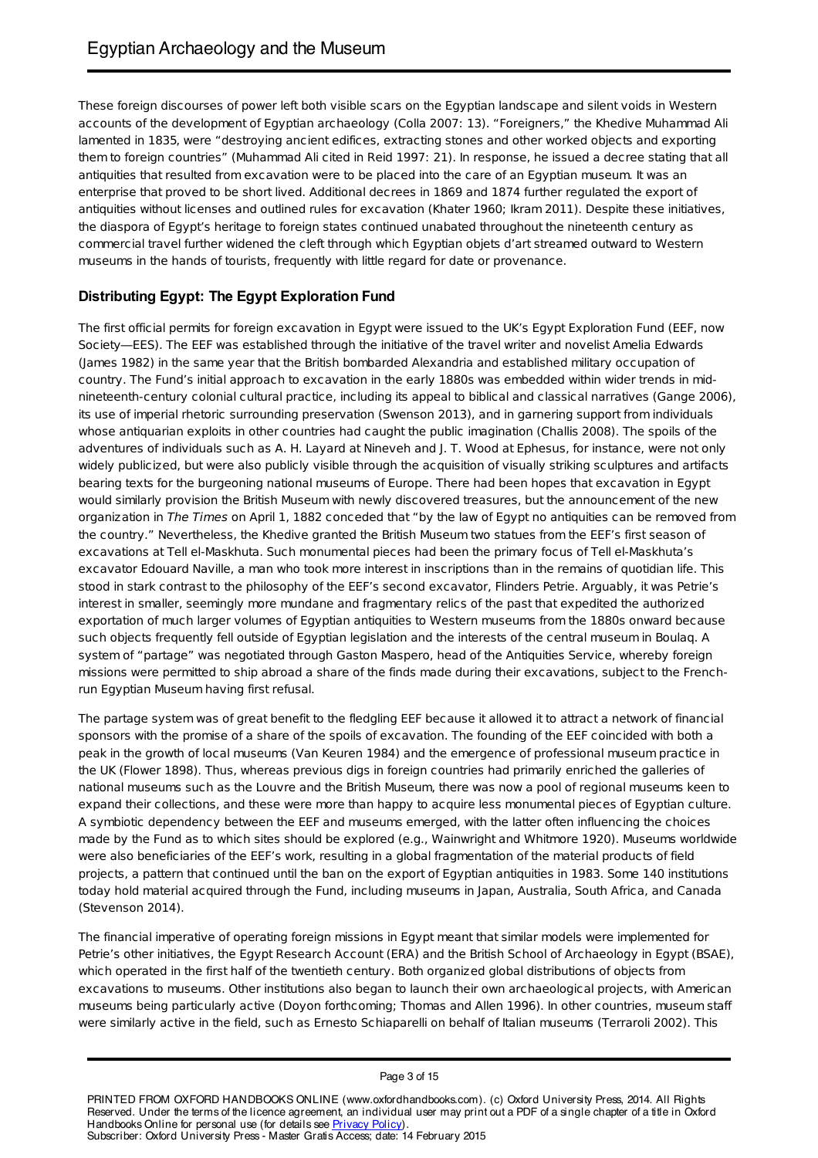These foreign discourses of power left both visible scars on the Egyptian landscape and silent voids in Western accounts of the development of Egyptian archaeology (Colla 2007: 13). "Foreigners," the Khedive Muhammad Ali lamented in 1835, were "destroying ancient edifices, extracting stones and other worked objects and exporting them to foreign countries" (Muhammad Ali cited in Reid 1997: 21). In response, he issued a decree stating that all antiquities that resulted from excavation were to be placed into the care of an Egyptian museum. It was an enterprise that proved to be short lived. Additional decrees in 1869 and 1874 further regulated the export of antiquities without licenses and outlined rules for excavation (Khater 1960; Ikram 2011). Despite these initiatives, the diaspora of Egypt's heritage to foreign states continued unabated throughout the nineteenth century as commercial travel further widened the cleft through which Egyptian objets d'art streamed outward to Western museums in the hands of tourists, frequently with little regard for date or provenance.

### **Distributing Egypt: The Egypt Exploration Fund**

The first official permits for foreign excavation in Egypt were issued to the UK's Egypt Exploration Fund (EEF, now Society—EES). The EEF was established through the initiative of the travel writer and novelist Amelia Edwards (James 1982) in the same year that the British bombarded Alexandria and established military occupation of country. The Fund's initial approach to excavation in the early 1880s was embedded within wider trends in midnineteenth-century colonial cultural practice, including its appeal to biblical and classical narratives (Gange 2006), its use of imperial rhetoric surrounding preservation (Swenson 2013), and in garnering support from individuals whose antiquarian exploits in other countries had caught the public imagination (Challis 2008). The spoils of the adventures of individuals such as A. H. Layard at Nineveh and J. T. Wood at Ephesus, for instance, were not only widely publicized, but were also publicly visible through the acquisition of visually striking sculptures and artifacts bearing texts for the burgeoning national museums of Europe. There had been hopes that excavation in Egypt would similarly provision the British Museum with newly discovered treasures, but the announcement of the new organization in The Times on April 1, 1882 conceded that "by the law of Egypt no antiquities can be removed from the country." Nevertheless, the Khedive granted the British Museum two statues from the EEF's first season of excavations at Tell el-Maskhuta. Such monumental pieces had been the primary focus of Tell el-Maskhuta's excavator Edouard Naville, a man who took more interest in inscriptions than in the remains of quotidian life. This stood in stark contrast to the philosophy of the EEF's second excavator, Flinders Petrie. Arguably, it was Petrie's interest in smaller, seemingly more mundane and fragmentary relics of the past that expedited the authorized exportation of much larger volumes of Egyptian antiquities to Western museums from the 1880s onward because such objects frequently fell outside of Egyptian legislation and the interests of the central museum in Boulaq. A system of "partage" was negotiated through Gaston Maspero, head of the Antiquities Service, whereby foreign missions were permitted to ship abroad a share of the finds made during their excavations, subject to the Frenchrun Egyptian Museum having first refusal.

The partage system was of great benefit to the fledgling EEF because it allowed it to attract a network of financial sponsors with the promise of a share of the spoils of excavation. The founding of the EEF coincided with both a peak in the growth of local museums (Van Keuren 1984) and the emergence of professional museum practice in the UK (Flower 1898). Thus, whereas previous digs in foreign countries had primarily enriched the galleries of national museums such as the Louvre and the British Museum, there was now a pool of regional museums keen to expand their collections, and these were more than happy to acquire less monumental pieces of Egyptian culture. A symbiotic dependency between the EEF and museums emerged, with the latter often influencing the choices made by the Fund as to which sites should be explored (e.g., Wainwright and Whitmore 1920). Museums worldwide were also beneficiaries of the EEF's work, resulting in a global fragmentation of the material products of field projects, a pattern that continued until the ban on the export of Egyptian antiquities in 1983. Some 140 institutions today hold material acquired through the Fund, including museums in Japan, Australia, South Africa, and Canada (Stevenson 2014).

The financial imperative of operating foreign missions in Egypt meant that similar models were implemented for Petrie's other initiatives, the Egypt Research Account (ERA) and the British School of Archaeology in Egypt (BSAE), which operated in the first half of the twentieth century. Both organized global distributions of objects from excavations to museums. Other institutions also began to launch their own archaeological projects, with American museums being particularly active (Doyon forthcoming; Thomas and Allen 1996). In other countries, museum staff were similarly active in the field, such as Ernesto Schiaparelli on behalf of Italian museums (Terraroli 2002). This

PRINTED FROM OXFORD HANDBOOKS ONLINE (www.oxfordhandbooks.com). (c) Oxford University Press, 2014. All Rights Reserved. Under the terms of the licence agreement, an individual user may print out a PDF of a single chapter of a title in Oxford Handbooks Online for personal use (for details see Privacy Policy). Subscriber: Oxford University Press - Master Gratis Access; date: 14 February 2015

Page 3 of 15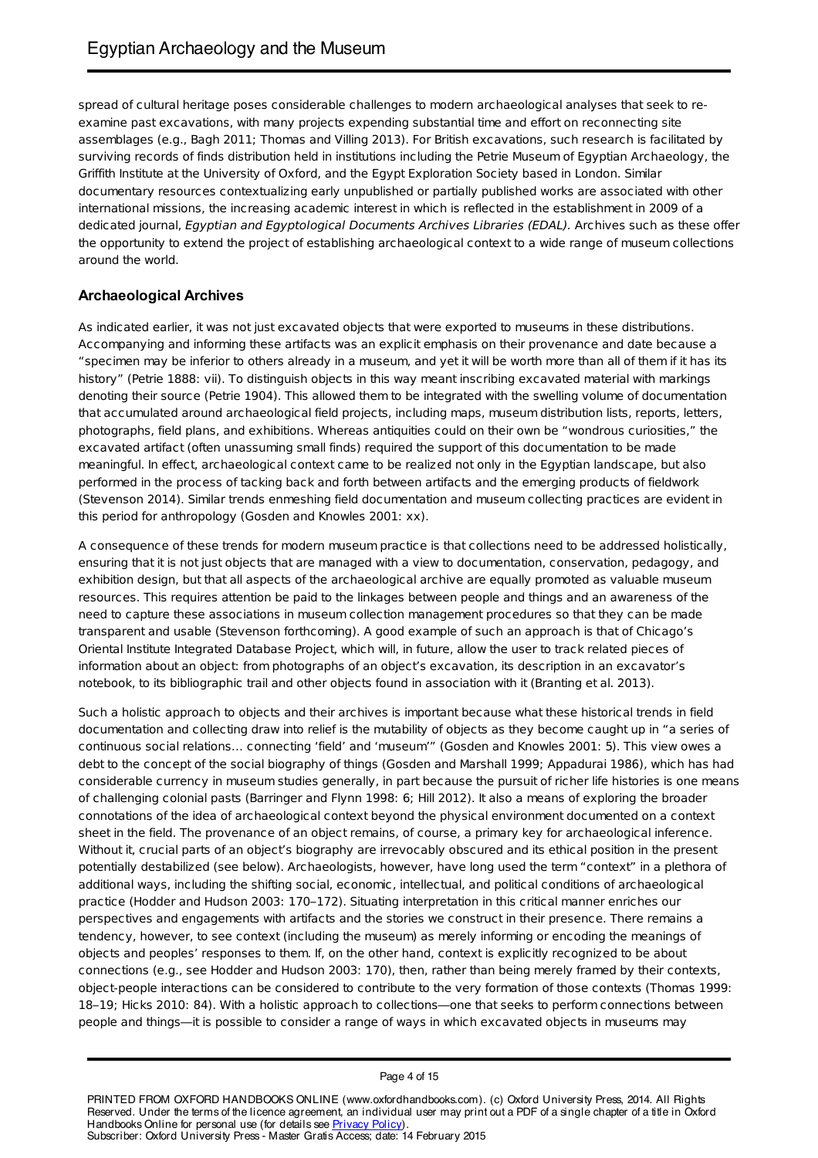spread of cultural heritage poses considerable challenges to modern archaeological analyses that seek to reexamine past excavations, with many projects expending substantial time and effort on reconnecting site assemblages (e.g., Bagh 2011; Thomas and Villing 2013). For British excavations, such research is facilitated by surviving records of finds distribution held in institutions including the Petrie Museum of Egyptian Archaeology, the Griffith Institute at the University of Oxford, and the Egypt Exploration Society based in London. Similar documentary resources contextualizing early unpublished or partially published works are associated with other international missions, the increasing academic interest in which is reflected in the establishment in 2009 of a dedicated journal, Egyptian and Egyptological Documents Archives Libraries (EDAL). Archives such as these offer the opportunity to extend the project of establishing archaeological context to a wide range of museum collections around the world.

### **Archaeological Archives**

As indicated earlier, it was not just excavated objects that were exported to museums in these distributions. Accompanying and informing these artifacts was an explicit emphasis on their provenance and date because a "specimen may be inferior to others already in a museum, and yet it will be worth more than all of them if it has its history" (Petrie 1888: vii). To distinguish objects in this way meant inscribing excavated material with markings denoting their source (Petrie 1904). This allowed them to be integrated with the swelling volume of documentation that accumulated around archaeological field projects, including maps, museum distribution lists, reports, letters, photographs, field plans, and exhibitions. Whereas antiquities could on their own be "wondrous curiosities," the excavated artifact (often unassuming small finds) required the support of this documentation to be made meaningful. In effect, archaeological context came to be realized not only in the Egyptian landscape, but also performed in the process of tacking back and forth between artifacts and the emerging products of fieldwork (Stevenson 2014). Similar trends enmeshing field documentation and museum collecting practices are evident in this period for anthropology (Gosden and Knowles 2001: xx).

A consequence of these trends for modern museum practice is that collections need to be addressed holistically, ensuring that it is not just objects that are managed with a view to documentation, conservation, pedagogy, and exhibition design, but that all aspects of the archaeological archive are equally promoted as valuable museum resources. This requires attention be paid to the linkages between people and things and an awareness of the need to capture these associations in museum collection management procedures so that they can be made transparent and usable (Stevenson forthcoming). A good example of such an approach is that of Chicago's Oriental Institute Integrated Database Project, which will, in future, allow the user to track related pieces of information about an object: from photographs of an object's excavation, its description in an excavator's notebook, to its bibliographic trail and other objects found in association with it (Branting et al. 2013).

Such a holistic approach to objects and their archives is important because what these historical trends in field documentation and collecting draw into relief is the mutability of objects as they become caught up in "a series of continuous social relations… connecting 'field' and 'museum'" (Gosden and Knowles 2001: 5). This view owes a debt to the concept of the social biography of things (Gosden and Marshall 1999; Appadurai 1986), which has had considerable currency in museum studies generally, in part because the pursuit of richer life histories is one means of challenging colonial pasts (Barringer and Flynn 1998: 6; Hill 2012). It also a means of exploring the broader connotations of the idea of archaeological context beyond the physical environment documented on a context sheet in the field. The provenance of an object remains, of course, a primary key for archaeological inference. Without it, crucial parts of an object's biography are irrevocably obscured and its ethical position in the present potentially destabilized (see below). Archaeologists, however, have long used the term "context" in a plethora of additional ways, including the shifting social, economic, intellectual, and political conditions of archaeological practice (Hodder and Hudson 2003: 170–172). Situating interpretation in this critical manner enriches our perspectives and engagements with artifacts and the stories we construct in their presence. There remains a tendency, however, to see context (including the museum) as merely informing or encoding the meanings of objects and peoples' responses to them. If, on the other hand, context is explicitly recognized to be about connections (e.g., see Hodder and Hudson 2003: 170), then, rather than being merely framed by their contexts, object-people interactions can be considered to contribute to the very formation of those contexts (Thomas 1999: 18–19; Hicks 2010: 84). With a holistic approach to collections—one that seeks to perform connections between people and things—it is possible to consider a range of ways in which excavated objects in museums may

Page 4 of 15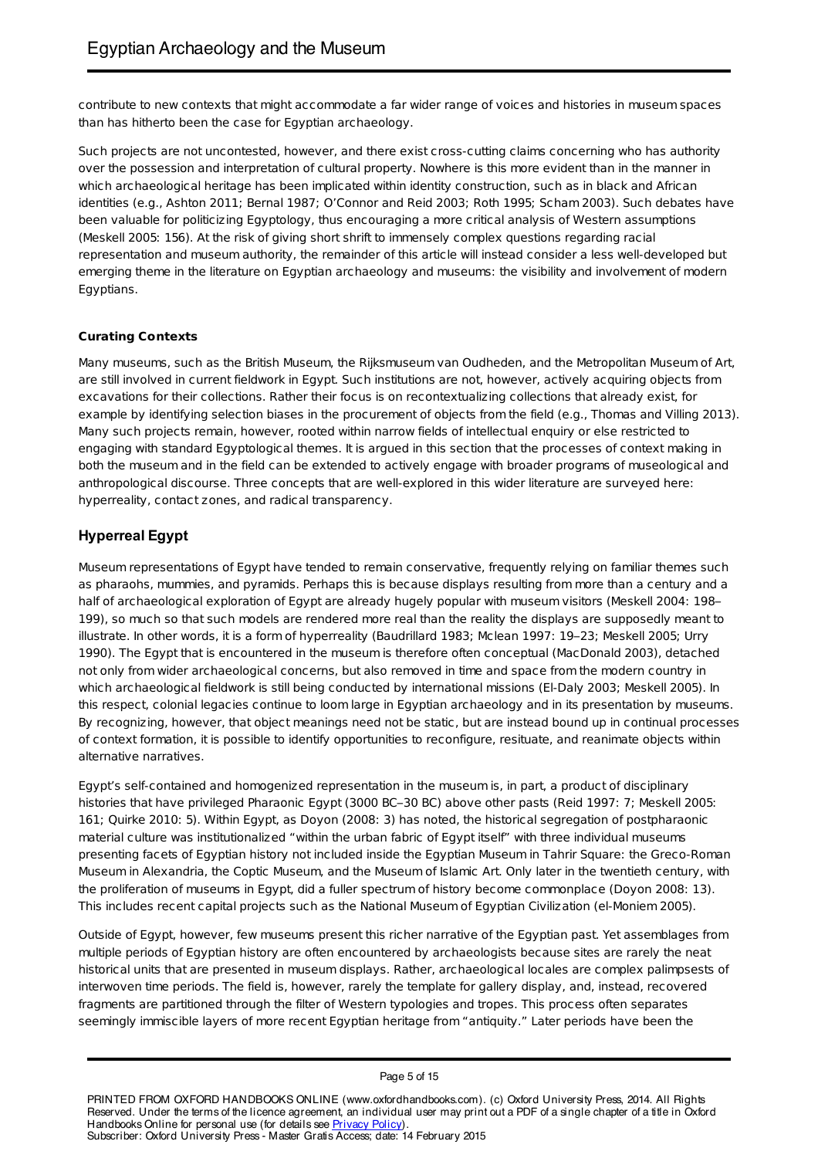contribute to new contexts that might accommodate a far wider range of voices and histories in museum spaces than has hitherto been the case for Egyptian archaeology.

Such projects are not uncontested, however, and there exist cross-cutting claims concerning who has authority over the possession and interpretation of cultural property. Nowhere is this more evident than in the manner in which archaeological heritage has been implicated within identity construction, such as in black and African identities (e.g., Ashton 2011; Bernal 1987; O'Connor and Reid 2003; Roth 1995; Scham 2003). Such debates have been valuable for politicizing Egyptology, thus encouraging a more critical analysis of Western assumptions (Meskell 2005: 156). At the risk of giving short shrift to immensely complex questions regarding racial representation and museum authority, the remainder of this article will instead consider a less well-developed but emerging theme in the literature on Egyptian archaeology and museums: the visibility and involvement of modern Egyptians.

### **Curating Contexts**

Many museums, such as the British Museum, the Rijksmuseum van Oudheden, and the Metropolitan Museum of Art, are still involved in current fieldwork in Egypt. Such institutions are not, however, actively acquiring objects from excavations for their collections. Rather their focus is on recontextualizing collections that already exist, for example by identifying selection biases in the procurement of objects from the field (e.g., Thomas and Villing 2013). Many such projects remain, however, rooted within narrow fields of intellectual enquiry or else restricted to engaging with standard Egyptological themes. It is argued in this section that the processes of context making in both the museum and in the field can be extended to actively engage with broader programs of museological and anthropological discourse. Three concepts that are well-explored in this wider literature are surveyed here: hyperreality, contact zones, and radical transparency.

## **Hyperreal Egypt**

Museum representations of Egypt have tended to remain conservative, frequently relying on familiar themes such as pharaohs, mummies, and pyramids. Perhaps this is because displays resulting from more than a century and a half of archaeological exploration of Egypt are already hugely popular with museum visitors (Meskell 2004: 198– 199), so much so that such models are rendered more real than the reality the displays are supposedly meant to illustrate. In other words, it is a form of hyperreality (Baudrillard 1983; Mclean 1997: 19–23; Meskell 2005; Urry 1990). The Egypt that is encountered in the museum is therefore often conceptual (MacDonald 2003), detached not only from wider archaeological concerns, but also removed in time and space from the modern country in which archaeological fieldwork is still being conducted by international missions (El-Daly 2003; Meskell 2005). In this respect, colonial legacies continue to loom large in Egyptian archaeology and in its presentation by museums. By recognizing, however, that object meanings need not be static, but are instead bound up in continual processes of context formation, it is possible to identify opportunities to reconfigure, resituate, and reanimate objects within alternative narratives.

Egypt's self-contained and homogenized representation in the museum is, in part, a product of disciplinary histories that have privileged Pharaonic Egypt (3000 BC–30 BC) above other pasts (Reid 1997: 7; Meskell 2005: 161; Quirke 2010: 5). Within Egypt, as Doyon (2008: 3) has noted, the historical segregation of postpharaonic material culture was institutionalized "within the urban fabric of Egypt itself" with three individual museums presenting facets of Egyptian history not included inside the Egyptian Museum in Tahrir Square: the Greco-Roman Museum in Alexandria, the Coptic Museum, and the Museum of Islamic Art. Only later in the twentieth century, with the proliferation of museums in Egypt, did a fuller spectrum of history become commonplace (Doyon 2008: 13). This includes recent capital projects such as the National Museum of Egyptian Civilization (el-Moniem 2005).

Outside of Egypt, however, few museums present this richer narrative of the Egyptian past. Yet assemblages from multiple periods of Egyptian history are often encountered by archaeologists because sites are rarely the neat historical units that are presented in museum displays. Rather, archaeological locales are complex palimpsests of interwoven time periods. The field is, however, rarely the template for gallery display, and, instead, recovered fragments are partitioned through the filter of Western typologies and tropes. This process often separates seemingly immiscible layers of more recent Egyptian heritage from "antiquity." Later periods have been the

PRINTED FROM OXFORD HANDBOOKS ONLINE (www.oxfordhandbooks.com). (c) Oxford University Press, 2014. All Rights Reserved. Under the terms of the licence agreement, an individual user may print out a PDF of a single chapter of a title in Oxford Handbooks Online for personal use (for details see Privacy Policy). Subscriber: Oxford University Press - Master Gratis Access; date: 14 February 2015

Page 5 of 15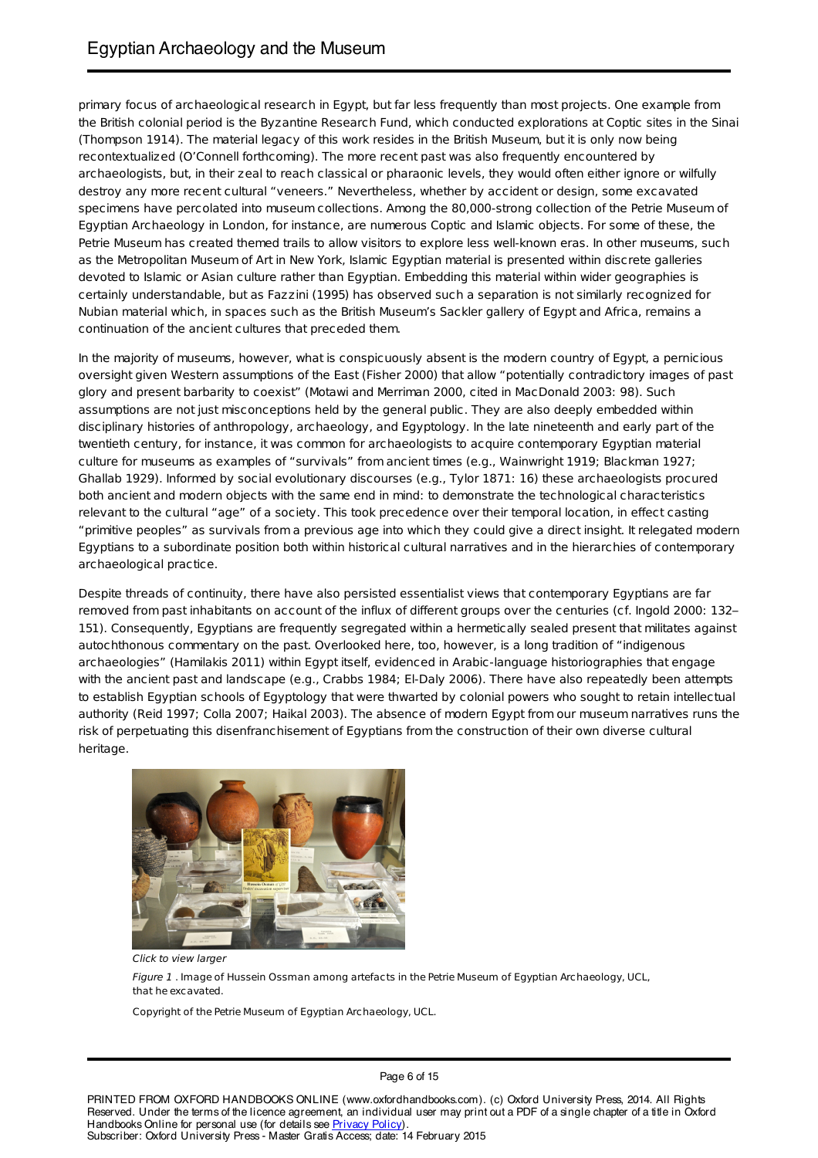primary focus of archaeological research in Egypt, but far less frequently than most projects. One example from the British colonial period is the Byzantine Research Fund, which conducted explorations at Coptic sites in the Sinai (Thompson 1914). The material legacy of this work resides in the British Museum, but it is only now being recontextualized (O'Connell forthcoming). The more recent past was also frequently encountered by archaeologists, but, in their zeal to reach classical or pharaonic levels, they would often either ignore or wilfully destroy any more recent cultural "veneers." Nevertheless, whether by accident or design, some excavated specimens have percolated into museum collections. Among the 80,000-strong collection of the Petrie Museum of Egyptian Archaeology in London, for instance, are numerous Coptic and Islamic objects. For some of these, the Petrie Museum has created themed trails to allow visitors to explore less well-known eras. In other museums, such as the Metropolitan Museum of Art in New York, Islamic Egyptian material is presented within discrete galleries devoted to Islamic or Asian culture rather than Egyptian. Embedding this material within wider geographies is certainly understandable, but as Fazzini (1995) has observed such a separation is not similarly recognized for Nubian material which, in spaces such as the British Museum's Sackler gallery of Egypt and Africa, remains a continuation of the ancient cultures that preceded them.

In the majority of museums, however, what is conspicuously absent is the modern country of Egypt, a pernicious oversight given Western assumptions of the East (Fisher 2000) that allow "potentially contradictory images of past glory and present barbarity to coexist" (Motawi and Merriman 2000, cited in MacDonald 2003: 98). Such assumptions are not just misconceptions held by the general public. They are also deeply embedded within disciplinary histories of anthropology, archaeology, and Egyptology. In the late nineteenth and early part of the twentieth century, for instance, it was common for archaeologists to acquire contemporary Egyptian material culture for museums as examples of "survivals" from ancient times (e.g., Wainwright 1919; Blackman 1927; Ghallab 1929). Informed by social evolutionary discourses (e.g., Tylor 1871: 16) these archaeologists procured both ancient and modern objects with the same end in mind: to demonstrate the technological characteristics relevant to the cultural "age" of a society. This took precedence over their temporal location, in effect casting "primitive peoples" as survivals from a previous age into which they could give a direct insight. It relegated modern Egyptians to a subordinate position both within historical cultural narratives and in the hierarchies of contemporary archaeological practice.

Despite threads of continuity, there have also persisted essentialist views that contemporary Egyptians are far removed from past inhabitants on account of the influx of different groups over the centuries (cf. Ingold 2000: 132– 151). Consequently, Egyptians are frequently segregated within a hermetically sealed present that militates against autochthonous commentary on the past. Overlooked here, too, however, is a long tradition of "indigenous archaeologies" (Hamilakis 2011) within Egypt itself, evidenced in Arabic-language historiographies that engage with the ancient past and landscape (e.g., Crabbs 1984; El-Daly 2006). There have also repeatedly been attempts to establish Egyptian schools of Egyptology that were thwarted by colonial powers who sought to retain intellectual authority (Reid 1997; Colla 2007; Haikal 2003). The absence of modern Egypt from our museum narratives runs the risk of perpetuating this disenfranchisement of Egyptians from the construction of their own diverse cultural heritage.



Click to view larger

Figure 1 . Image of Hussein Ossman among artefacts in the Petrie Museum of Egyptian Archaeology, UCL, that he excavated.

Copyright of the Petrie Museum of Egyptian Archaeology, UCL.

Page 6 of 15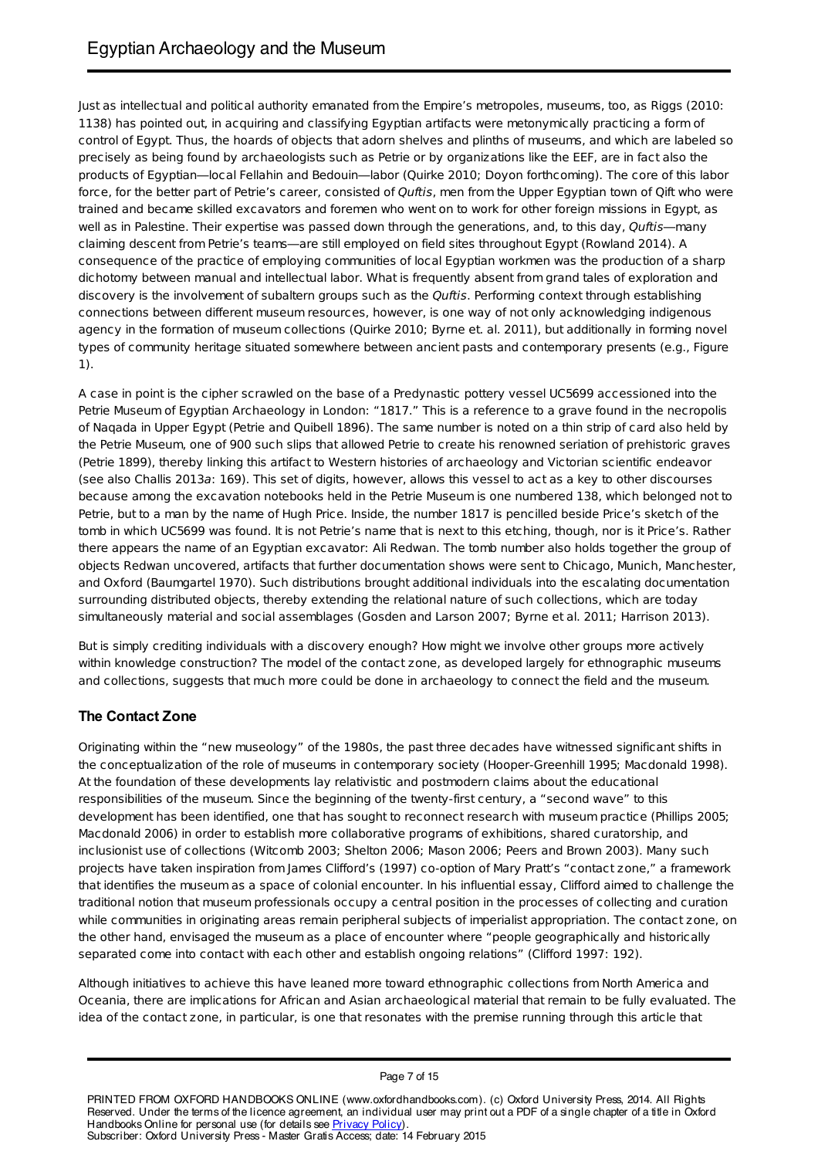Just as intellectual and political authority emanated from the Empire's metropoles, museums, too, as Riggs (2010: 1138) has pointed out, in acquiring and classifying Egyptian artifacts were metonymically practicing a form of control of Egypt. Thus, the hoards of objects that adorn shelves and plinths of museums, and which are labeled so precisely as being found by archaeologists such as Petrie or by organizations like the EEF, are in fact also the products of Egyptian—local Fellahin and Bedouin—labor (Quirke 2010; Doyon forthcoming). The core of this labor force, for the better part of Petrie's career, consisted of Quftis, men from the Upper Egyptian town of Qift who were trained and became skilled excavators and foremen who went on to work for other foreign missions in Egypt, as well as in Palestine. Their expertise was passed down through the generations, and, to this day, Ouftis—many claiming descent from Petrie's teams—are still employed on field sites throughout Egypt (Rowland 2014). A consequence of the practice of employing communities of local Egyptian workmen was the production of a sharp dichotomy between manual and intellectual labor. What is frequently absent from grand tales of exploration and discovery is the involvement of subaltern groups such as the Quftis. Performing context through establishing connections between different museum resources, however, is one way of not only acknowledging indigenous agency in the formation of museum collections (Quirke 2010; Byrne et. al. 2011), but additionally in forming novel types of community heritage situated somewhere between ancient pasts and contemporary presents (e.g., Figure 1).

A case in point is the cipher scrawled on the base of a Predynastic pottery vessel UC5699 accessioned into the Petrie Museum of Egyptian Archaeology in London: "1817." This is a reference to a grave found in the necropolis of Naqada in Upper Egypt (Petrie and Quibell 1896). The same number is noted on a thin strip of card also held by the Petrie Museum, one of 900 such slips that allowed Petrie to create his renowned seriation of prehistoric graves (Petrie 1899), thereby linking this artifact to Western histories of archaeology and Victorian scientific endeavor (see also Challis 2013a: 169). This set of digits, however, allows this vessel to act as a key to other discourses because among the excavation notebooks held in the Petrie Museum is one numbered 138, which belonged not to Petrie, but to a man by the name of Hugh Price. Inside, the number 1817 is pencilled beside Price's sketch of the tomb in which UC5699 was found. It is not Petrie's name that is next to this etching, though, nor is it Price's. Rather there appears the name of an Egyptian excavator: Ali Redwan. The tomb number also holds together the group of objects Redwan uncovered, artifacts that further documentation shows were sent to Chicago, Munich, Manchester, and Oxford (Baumgartel 1970). Such distributions brought additional individuals into the escalating documentation surrounding distributed objects, thereby extending the relational nature of such collections, which are today simultaneously material and social assemblages (Gosden and Larson 2007; Byrne et al. 2011; Harrison 2013).

But is simply crediting individuals with a discovery enough? How might we involve other groups more actively within knowledge construction? The model of the contact zone, as developed largely for ethnographic museums and collections, suggests that much more could be done in archaeology to connect the field and the museum.

# **The Contact Zone**

Originating within the "new museology" of the 1980s, the past three decades have witnessed significant shifts in the conceptualization of the role of museums in contemporary society (Hooper-Greenhill 1995; Macdonald 1998). At the foundation of these developments lay relativistic and postmodern claims about the educational responsibilities of the museum. Since the beginning of the twenty-first century, a "second wave" to this development has been identified, one that has sought to reconnect research with museum practice (Phillips 2005; Macdonald 2006) in order to establish more collaborative programs of exhibitions, shared curatorship, and inclusionist use of collections (Witcomb 2003; Shelton 2006; Mason 2006; Peers and Brown 2003). Many such projects have taken inspiration from James Clifford's (1997) co-option of Mary Pratt's "contact zone," a framework that identifies the museum as a space of colonial encounter. In his influential essay, Clifford aimed to challenge the traditional notion that museum professionals occupy a central position in the processes of collecting and curation while communities in originating areas remain peripheral subjects of imperialist appropriation. The contact zone, on the other hand, envisaged the museum as a place of encounter where "people geographically and historically separated come into contact with each other and establish ongoing relations" (Clifford 1997: 192).

Although initiatives to achieve this have leaned more toward ethnographic collections from North America and Oceania, there are implications for African and Asian archaeological material that remain to be fully evaluated. The idea of the contact zone, in particular, is one that resonates with the premise running through this article that

PRINTED FROM OXFORD HANDBOOKS ONLINE (www.oxfordhandbooks.com). (c) Oxford University Press, 2014. All Rights Reserved. Under the terms of the licence agreement, an individual user may print out a PDF of a single chapter of a title in Oxford Handbooks Online for personal use (for details see Privacy Policy). Subscriber: Oxford University Press - Master Gratis Access; date: 14 February 2015

Page 7 of 15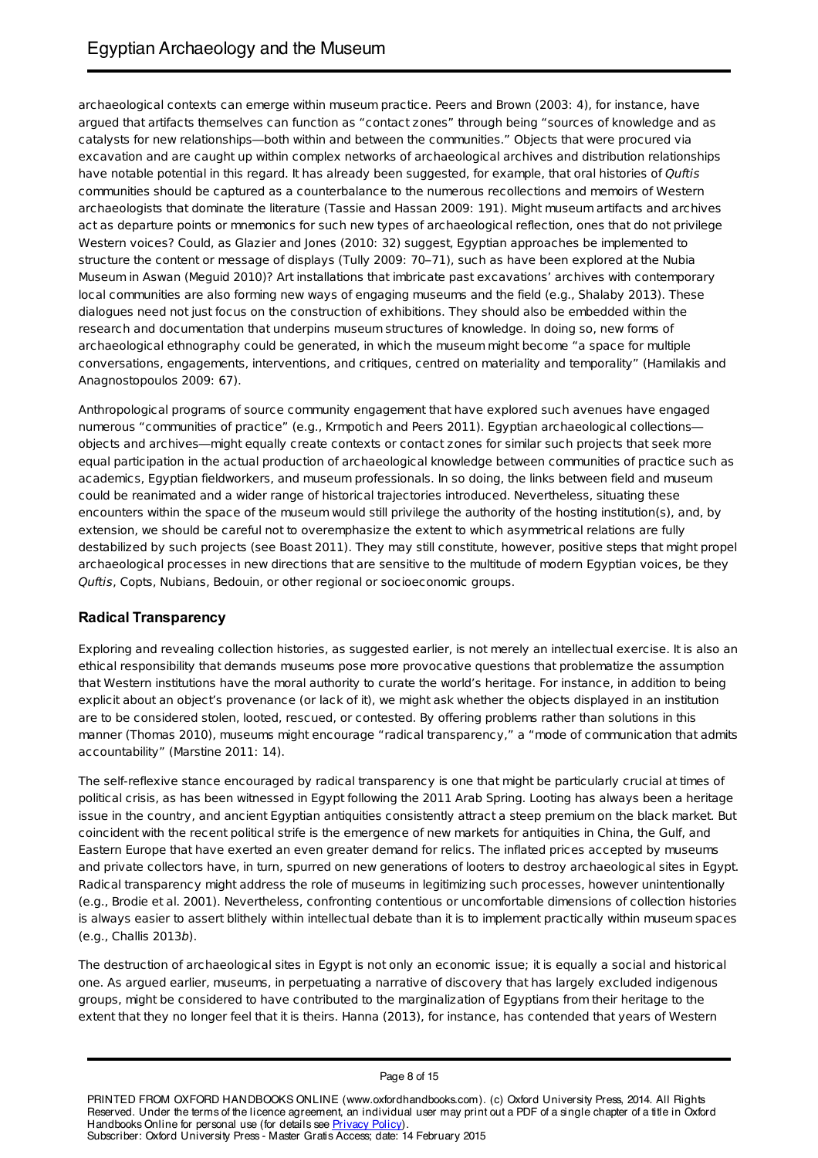archaeological contexts can emerge within museum practice. Peers and Brown (2003: 4), for instance, have argued that artifacts themselves can function as "contact zones" through being "sources of knowledge and as catalysts for new relationships—both within and between the communities." Objects that were procured via excavation and are caught up within complex networks of archaeological archives and distribution relationships have notable potential in this regard. It has already been suggested, for example, that oral histories of Quftis communities should be captured as a counterbalance to the numerous recollections and memoirs of Western archaeologists that dominate the literature (Tassie and Hassan 2009: 191). Might museum artifacts and archives act as departure points or mnemonics for such new types of archaeological reflection, ones that do not privilege Western voices? Could, as Glazier and Jones (2010: 32) suggest, Egyptian approaches be implemented to structure the content or message of displays (Tully 2009: 70–71), such as have been explored at the Nubia Museum in Aswan (Meguid 2010)? Art installations that imbricate past excavations' archives with contemporary local communities are also forming new ways of engaging museums and the field (e.g., Shalaby 2013). These dialogues need not just focus on the construction of exhibitions. They should also be embedded within the research and documentation that underpins museum structures of knowledge. In doing so, new forms of archaeological ethnography could be generated, in which the museum might become "a space for multiple conversations, engagements, interventions, and critiques, centred on materiality and temporality" (Hamilakis and Anagnostopoulos 2009: 67).

Anthropological programs of source community engagement that have explored such avenues have engaged numerous "communities of practice" (e.g., Krmpotich and Peers 2011). Egyptian archaeological collections objects and archives—might equally create contexts or contact zones for similar such projects that seek more equal participation in the actual production of archaeological knowledge between communities of practice such as academics, Egyptian fieldworkers, and museum professionals. In so doing, the links between field and museum could be reanimated and a wider range of historical trajectories introduced. Nevertheless, situating these encounters within the space of the museum would still privilege the authority of the hosting institution(s), and, by extension, we should be careful not to overemphasize the extent to which asymmetrical relations are fully destabilized by such projects (see Boast 2011). They may still constitute, however, positive steps that might propel archaeological processes in new directions that are sensitive to the multitude of modern Egyptian voices, be they Quftis, Copts, Nubians, Bedouin, or other regional or socioeconomic groups.

### **Radical Transparency**

Exploring and revealing collection histories, as suggested earlier, is not merely an intellectual exercise. It is also an ethical responsibility that demands museums pose more provocative questions that problematize the assumption that Western institutions have the moral authority to curate the world's heritage. For instance, in addition to being explicit about an object's provenance (or lack of it), we might ask whether the objects displayed in an institution are to be considered stolen, looted, rescued, or contested. By offering problems rather than solutions in this manner (Thomas 2010), museums might encourage "radical transparency," a "mode of communication that admits accountability" (Marstine 2011: 14).

The self-reflexive stance encouraged by radical transparency is one that might be particularly crucial at times of political crisis, as has been witnessed in Egypt following the 2011 Arab Spring. Looting has always been a heritage issue in the country, and ancient Egyptian antiquities consistently attract a steep premium on the black market. But coincident with the recent political strife is the emergence of new markets for antiquities in China, the Gulf, and Eastern Europe that have exerted an even greater demand for relics. The inflated prices accepted by museums and private collectors have, in turn, spurred on new generations of looters to destroy archaeological sites in Egypt. Radical transparency might address the role of museums in legitimizing such processes, however unintentionally (e.g., Brodie et al. 2001). Nevertheless, confronting contentious or uncomfortable dimensions of collection histories is always easier to assert blithely within intellectual debate than it is to implement practically within museum spaces (e.g., Challis 2013b).

The destruction of archaeological sites in Egypt is not only an economic issue; it is equally a social and historical one. As argued earlier, museums, in perpetuating a narrative of discovery that has largely excluded indigenous groups, might be considered to have contributed to the marginalization of Egyptians from their heritage to the extent that they no longer feel that it is theirs. Hanna (2013), for instance, has contended that years of Western

PRINTED FROM OXFORD HANDBOOKS ONLINE (www.oxfordhandbooks.com). (c) Oxford University Press, 2014. All Rights Reserved. Under the terms of the licence agreement, an individual user may print out a PDF of a single chapter of a title in Oxford Handbooks Online for personal use (for details see Privacy Policy). Subscriber: Oxford University Press - Master Gratis Access; date: 14 February 2015

Page 8 of 15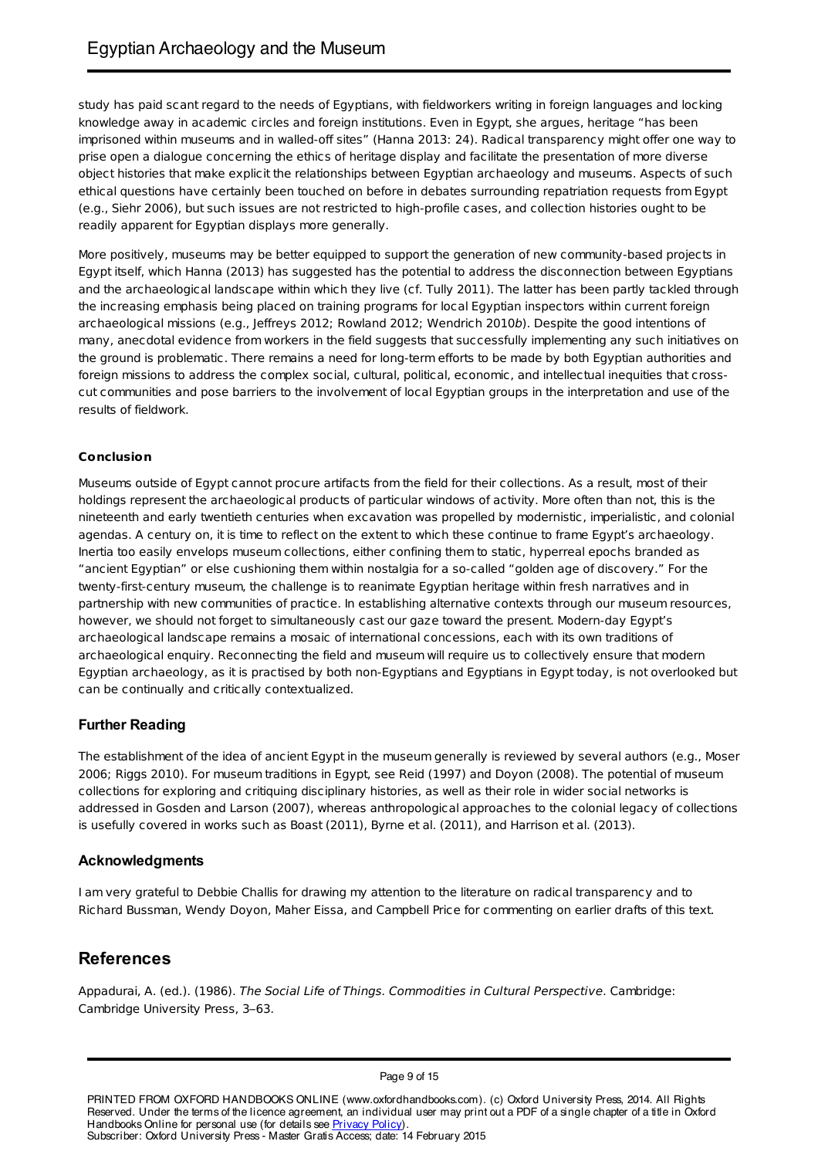study has paid scant regard to the needs of Egyptians, with fieldworkers writing in foreign languages and locking knowledge away in academic circles and foreign institutions. Even in Egypt, she argues, heritage "has been imprisoned within museums and in walled-off sites" (Hanna 2013: 24). Radical transparency might offer one way to prise open a dialogue concerning the ethics of heritage display and facilitate the presentation of more diverse object histories that make explicit the relationships between Egyptian archaeology and museums. Aspects of such ethical questions have certainly been touched on before in debates surrounding repatriation requests from Egypt (e.g., Siehr 2006), but such issues are not restricted to high-profile cases, and collection histories ought to be readily apparent for Egyptian displays more generally.

More positively, museums may be better equipped to support the generation of new community-based projects in Egypt itself, which Hanna (2013) has suggested has the potential to address the disconnection between Egyptians and the archaeological landscape within which they live (cf. Tully 2011). The latter has been partly tackled through the increasing emphasis being placed on training programs for local Egyptian inspectors within current foreign archaeological missions (e.g., Jeffreys 2012; Rowland 2012; Wendrich 2010b). Despite the good intentions of many, anecdotal evidence from workers in the field suggests that successfully implementing any such initiatives on the ground is problematic. There remains a need for long-term efforts to be made by both Egyptian authorities and foreign missions to address the complex social, cultural, political, economic, and intellectual inequities that crosscut communities and pose barriers to the involvement of local Egyptian groups in the interpretation and use of the results of fieldwork.

### **Conclusion**

Museums outside of Egypt cannot procure artifacts from the field for their collections. As a result, most of their holdings represent the archaeological products of particular windows of activity. More often than not, this is the nineteenth and early twentieth centuries when excavation was propelled by modernistic, imperialistic, and colonial agendas. A century on, it is time to reflect on the extent to which these continue to frame Egypt's archaeology. Inertia too easily envelops museum collections, either confining them to static, hyperreal epochs branded as "ancient Egyptian" or else cushioning them within nostalgia for a so-called "golden age of discovery." For the twenty-first-century museum, the challenge is to reanimate Egyptian heritage within fresh narratives and in partnership with new communities of practice. In establishing alternative contexts through our museum resources, however, we should not forget to simultaneously cast our gaze toward the present. Modern-day Egypt's archaeological landscape remains a mosaic of international concessions, each with its own traditions of archaeological enquiry. Reconnecting the field and museum will require us to collectively ensure that modern Egyptian archaeology, as it is practised by both non-Egyptians and Egyptians in Egypt today, is not overlooked but can be continually and critically contextualized.

### **Further Reading**

The establishment of the idea of ancient Egypt in the museum generally is reviewed by several authors (e.g., Moser 2006; Riggs 2010). For museum traditions in Egypt, see Reid (1997) and Doyon (2008). The potential of museum collections for exploring and critiquing disciplinary histories, as well as their role in wider social networks is addressed in Gosden and Larson (2007), whereas anthropological approaches to the colonial legacy of collections is usefully covered in works such as Boast (2011), Byrne et al. (2011), and Harrison et al. (2013).

### **Acknowledgments**

I am very grateful to Debbie Challis for drawing my attention to the literature on radical transparency and to Richard Bussman, Wendy Doyon, Maher Eissa, and Campbell Price for commenting on earlier drafts of this text.

# **References**

Appadurai, A. (ed.). (1986). The Social Life of Things. Commodities in Cultural Perspective. Cambridge: Cambridge University Press, 3–63.

Page 9 of 15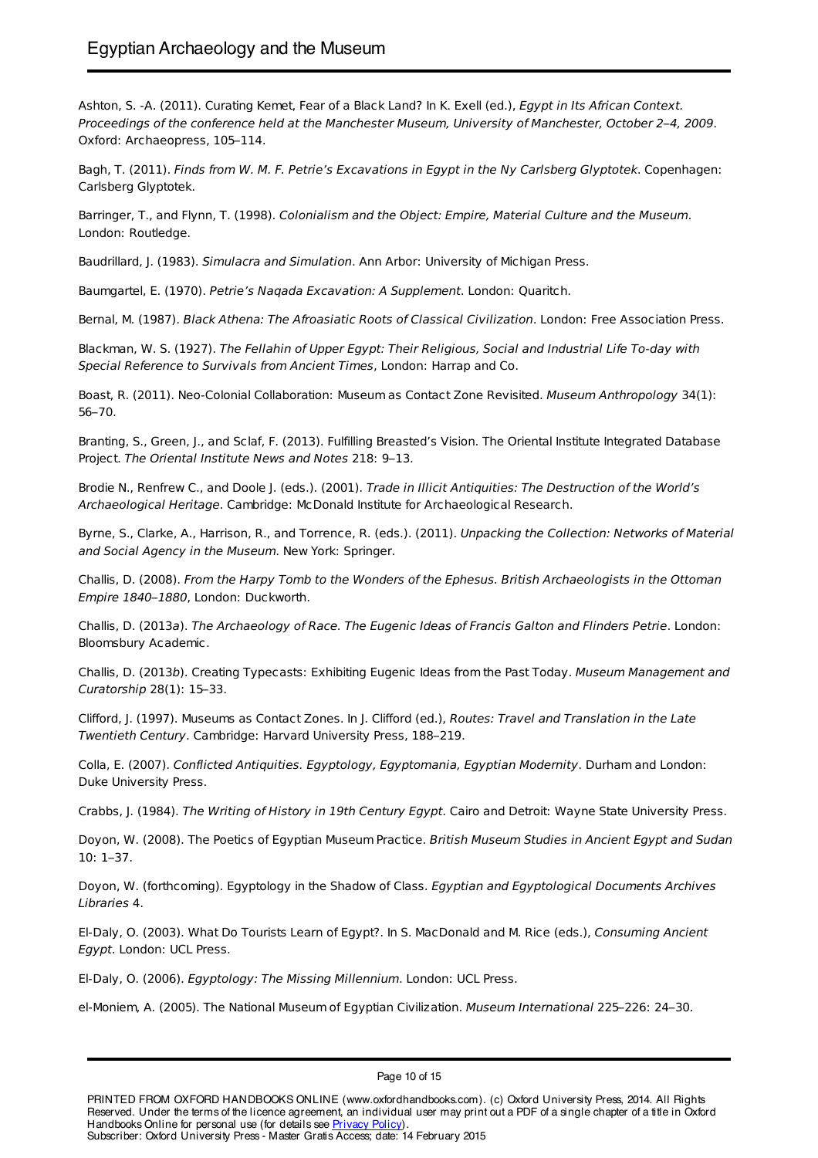Ashton, S. -A. (2011). Curating Kemet, Fear of a Black Land? In K. Exell (ed.), Egypt in Its African Context. Proceedings of the conference held at the Manchester Museum, University of Manchester, October 2–4, 2009. Oxford: Archaeopress, 105–114.

Bagh, T. (2011). Finds from W. M. F. Petrie's Excavations in Egypt in the Ny Carlsberg Glyptotek. Copenhagen: Carlsberg Glyptotek.

Barringer, T., and Flynn, T. (1998). Colonialism and the Object: Empire, Material Culture and the Museum. London: Routledge.

Baudrillard, J. (1983). Simulacra and Simulation. Ann Arbor: University of Michigan Press.

Baumgartel, E. (1970). Petrie's Naqada Excavation: A Supplement. London: Quaritch.

Bernal, M. (1987). Black Athena: The Afroasiatic Roots of Classical Civilization. London: Free Association Press.

Blackman, W. S. (1927). The Fellahin of Upper Egypt: Their Religious, Social and Industrial Life To-day with Special Reference to Survivals from Ancient Times, London: Harrap and Co.

Boast, R. (2011). Neo-Colonial Collaboration: Museum as Contact Zone Revisited. Museum Anthropology 34(1): 56–70.

Branting, S., Green, J., and Sclaf, F. (2013). Fulfilling Breasted's Vision. The Oriental Institute Integrated Database Project. The Oriental Institute News and Notes 218: 9–13.

Brodie N., Renfrew C., and Doole J. (eds.). (2001). Trade in Illicit Antiquities: The Destruction of the World's Archaeological Heritage. Cambridge: McDonald Institute for Archaeological Research.

Byrne, S., Clarke, A., Harrison, R., and Torrence, R. (eds.). (2011). Unpacking the Collection: Networks of Material and Social Agency in the Museum. New York: Springer.

Challis, D. (2008). From the Harpy Tomb to the Wonders of the Ephesus. British Archaeologists in the Ottoman Empire 1840–1880, London: Duckworth.

Challis, D. (2013a). The Archaeology of Race. The Eugenic Ideas of Francis Galton and Flinders Petrie. London: Bloomsbury Academic.

Challis, D. (2013b). Creating Typecasts: Exhibiting Eugenic Ideas from the Past Today. Museum Management and Curatorship 28(1): 15–33.

Clifford, J. (1997). Museums as Contact Zones. In J. Clifford (ed.), Routes: Travel and Translation in the Late Twentieth Century. Cambridge: Harvard University Press, 188–219.

Colla, E. (2007). Conflicted Antiquities. Egyptology, Egyptomania, Egyptian Modernity. Durham and London: Duke University Press.

Crabbs, J. (1984). The Writing of History in 19th Century Egypt. Cairo and Detroit: Wayne State University Press.

Doyon, W. (2008). The Poetics of Egyptian Museum Practice. British Museum Studies in Ancient Egypt and Sudan 10: 1–37.

Doyon, W. (forthcoming). Egyptology in the Shadow of Class. Egyptian and Egyptological Documents Archives Libraries 4.

El-Daly, O. (2003). What Do Tourists Learn of Egypt?. In S. MacDonald and M. Rice (eds.), Consuming Ancient Egypt. London: UCL Press.

El-Daly, O. (2006). Egyptology: The Missing Millennium. London: UCL Press.

el-Moniem, A. (2005). The National Museum of Egyptian Civilization. Museum International 225–226: 24–30.

Page 10 of 15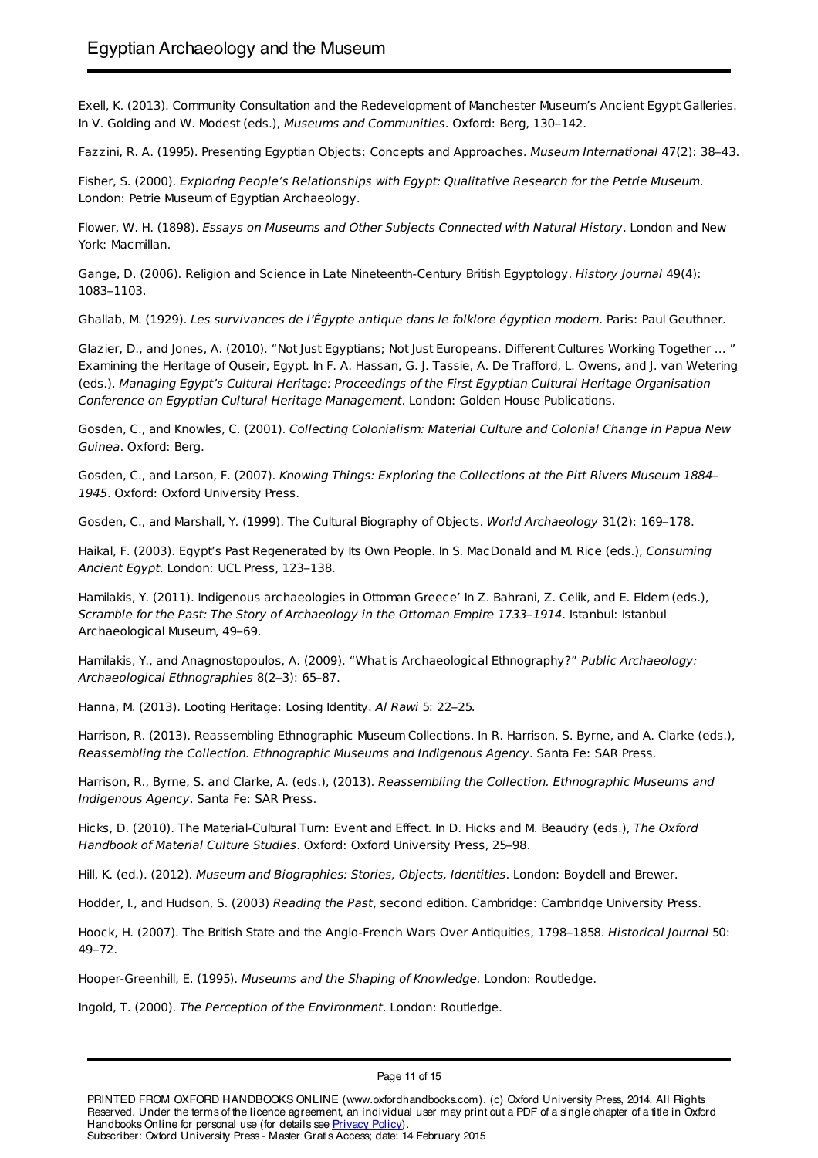Exell, K. (2013). Community Consultation and the Redevelopment of Manchester Museum's Ancient Egypt Galleries. In V. Golding and W. Modest (eds.), Museums and Communities. Oxford: Berg, 130–142.

Fazzini, R. A. (1995). Presenting Egyptian Objects: Concepts and Approaches. Museum International 47(2): 38–43.

Fisher, S. (2000). Exploring People's Relationships with Egypt: Qualitative Research for the Petrie Museum. London: Petrie Museum of Egyptian Archaeology.

Flower, W. H. (1898). Essays on Museums and Other Subjects Connected with Natural History. London and New York: Macmillan.

Gange, D. (2006). Religion and Science in Late Nineteenth-Century British Egyptology. History Journal 49(4): 1083–1103.

Ghallab, M. (1929). Les survivances de l'Égypte antique dans le folklore égyptien modern. Paris: Paul Geuthner.

Glazier, D., and Jones, A. (2010). "Not Just Egyptians; Not Just Europeans. Different Cultures Working Together … " Examining the Heritage of Quseir, Egypt. In F. A. Hassan, G. J. Tassie, A. De Trafford, L. Owens, and J. van Wetering (eds.), Managing Egypt's Cultural Heritage: Proceedings of the First Egyptian Cultural Heritage Organisation Conference on Egyptian Cultural Heritage Management. London: Golden House Publications.

Gosden, C., and Knowles, C. (2001). Collecting Colonialism: Material Culture and Colonial Change in Papua New Guinea. Oxford: Berg.

Gosden, C., and Larson, F. (2007). Knowing Things: Exploring the Collections at the Pitt Rivers Museum 1884– 1945. Oxford: Oxford University Press.

Gosden, C., and Marshall, Y. (1999). The Cultural Biography of Objects. World Archaeology 31(2): 169–178.

Haikal, F. (2003). Egypt's Past Regenerated by Its Own People. In S. MacDonald and M. Rice (eds.), Consuming Ancient Egypt. London: UCL Press, 123–138.

Hamilakis, Y. (2011). Indigenous archaeologies in Ottoman Greece' In Z. Bahrani, Z. Celik, and E. Eldem (eds.), Scramble for the Past: The Story of Archaeology in the Ottoman Empire 1733–1914. Istanbul: Istanbul Archaeological Museum, 49–69.

Hamilakis, Y., and Anagnostopoulos, A. (2009). "What is Archaeological Ethnography?" Public Archaeology: Archaeological Ethnographies 8(2–3): 65–87.

Hanna, M. (2013). Looting Heritage: Losing Identity. Al Rawi 5: 22–25.

Harrison, R. (2013). Reassembling Ethnographic Museum Collections. In R. Harrison, S. Byrne, and A. Clarke (eds.), Reassembling the Collection. Ethnographic Museums and Indigenous Agency. Santa Fe: SAR Press.

Harrison, R., Byrne, S. and Clarke, A. (eds.), (2013). Reassembling the Collection. Ethnographic Museums and Indigenous Agency. Santa Fe: SAR Press.

Hicks, D. (2010). The Material-Cultural Turn: Event and Effect. In D. Hicks and M. Beaudry (eds.), The Oxford Handbook of Material Culture Studies. Oxford: Oxford University Press, 25–98.

Hill, K. (ed.). (2012). Museum and Biographies: Stories, Objects, Identities. London: Boydell and Brewer.

Hodder, I., and Hudson, S. (2003) Reading the Past, second edition. Cambridge: Cambridge University Press.

Hoock, H. (2007). The British State and the Anglo-French Wars Over Antiquities, 1798–1858. Historical Journal 50: 49–72.

Hooper-Greenhill, E. (1995). Museums and the Shaping of Knowledge. London: Routledge.

Ingold, T. (2000). The Perception of the Environment. London: Routledge.

Page 11 of 15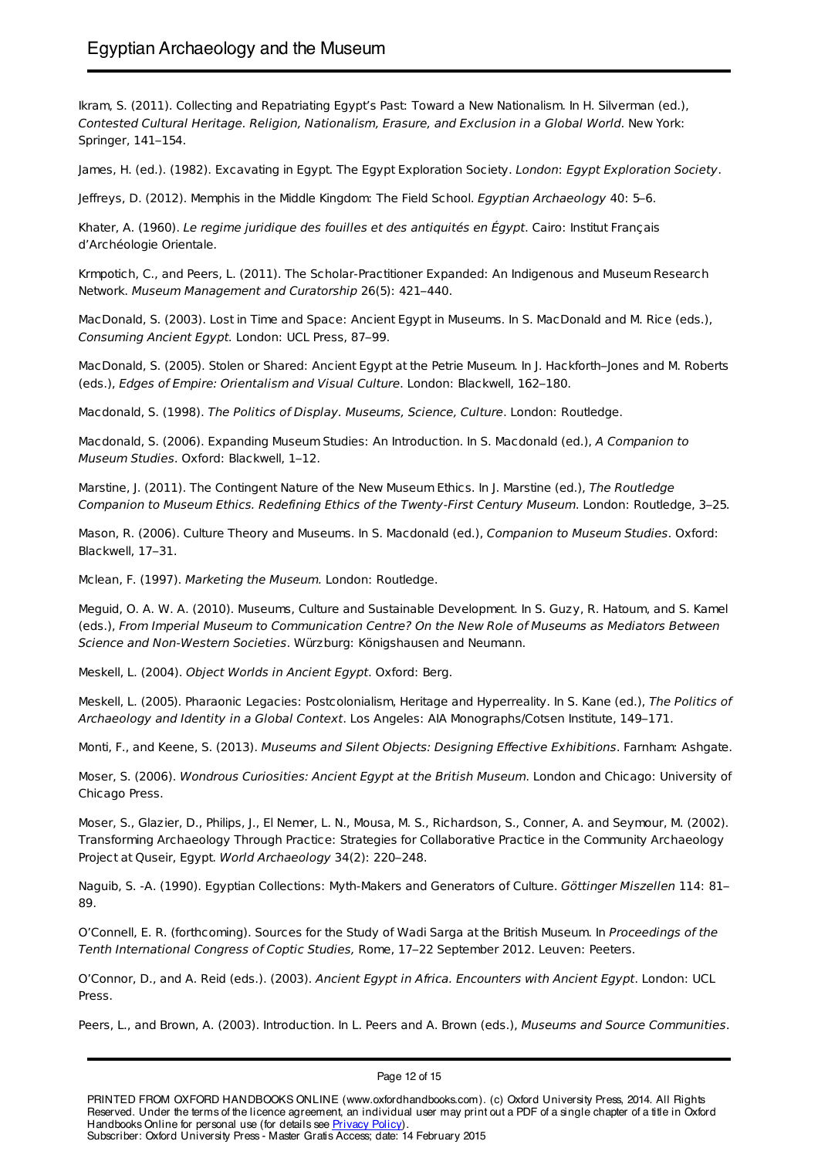Ikram, S. (2011). Collecting and Repatriating Egypt's Past: Toward a New Nationalism. In H. Silverman (ed.), Contested Cultural Heritage. Religion, Nationalism, Erasure, and Exclusion in a Global World. New York: Springer, 141–154.

James, H. (ed.). (1982). Excavating in Egypt. The Egypt Exploration Society. London: Egypt Exploration Society.

Jeffreys, D. (2012). Memphis in the Middle Kingdom: The Field School. Egyptian Archaeology 40: 5–6.

Khater, A. (1960). Le regime juridique des fouilles et des antiquités en Égypt. Cairo: Institut Français d'Archéologie Orientale.

Krmpotich, C., and Peers, L. (2011). The Scholar-Practitioner Expanded: An Indigenous and Museum Research Network. Museum Management and Curatorship 26(5): 421–440.

MacDonald, S. (2003). Lost in Time and Space: Ancient Egypt in Museums. In S. MacDonald and M. Rice (eds.), Consuming Ancient Egypt. London: UCL Press, 87–99.

MacDonald, S. (2005). Stolen or Shared: Ancient Egypt at the Petrie Museum. In J. Hackforth–Jones and M. Roberts (eds.), Edges of Empire: Orientalism and Visual Culture. London: Blackwell, 162–180.

Macdonald, S. (1998). The Politics of Display. Museums, Science, Culture. London: Routledge.

Macdonald, S. (2006). Expanding Museum Studies: An Introduction. In S. Macdonald (ed.), A Companion to Museum Studies. Oxford: Blackwell, 1–12.

Marstine, J. (2011). The Contingent Nature of the New Museum Ethics. In J. Marstine (ed.), The Routledge Companion to Museum Ethics. Redefining Ethics of the Twenty-First Century Museum. London: Routledge, 3–25.

Mason, R. (2006). Culture Theory and Museums. In S. Macdonald (ed.), Companion to Museum Studies. Oxford: Blackwell, 17–31.

Mclean, F. (1997). Marketing the Museum. London: Routledge.

Meguid, O. A. W. A. (2010). Museums, Culture and Sustainable Development. In S. Guzy, R. Hatoum, and S. Kamel (eds.), From Imperial Museum to Communication Centre? On the New Role of Museums as Mediators Between Science and Non-Western Societies. Würzburg: Königshausen and Neumann.

Meskell, L. (2004). Object Worlds in Ancient Egypt. Oxford: Berg.

Meskell, L. (2005). Pharaonic Legacies: Postcolonialism, Heritage and Hyperreality. In S. Kane (ed.), The Politics of Archaeology and Identity in a Global Context. Los Angeles: AIA Monographs/Cotsen Institute, 149–171.

Monti, F., and Keene, S. (2013). Museums and Silent Objects: Designing Effective Exhibitions. Farnham: Ashgate.

Moser, S. (2006). Wondrous Curiosities: Ancient Egypt at the British Museum. London and Chicago: University of Chicago Press.

Moser, S., Glazier, D., Philips, J., El Nemer, L. N., Mousa, M. S., Richardson, S., Conner, A. and Seymour, M. (2002). Transforming Archaeology Through Practice: Strategies for Collaborative Practice in the Community Archaeology Project at Quseir, Egypt. World Archaeology 34(2): 220–248.

Naguib, S. -A. (1990). Egyptian Collections: Myth-Makers and Generators of Culture. Göttinger Miszellen 114: 81– 89.

O'Connell, E. R. (forthcoming). Sources for the Study of Wadi Sarga at the British Museum. In Proceedings of the Tenth International Congress of Coptic Studies, Rome, 17–22 September 2012. Leuven: Peeters.

O'Connor, D., and A. Reid (eds.). (2003). Ancient Egypt in Africa. Encounters with Ancient Egypt. London: UCL Press.

Peers, L., and Brown, A. (2003). Introduction. In L. Peers and A. Brown (eds.), Museums and Source Communities.

PRINTED FROM OXFORD HANDBOOKS ONLINE (www.oxfordhandbooks.com). (c) Oxford University Press, 2014. All Rights Reserved. Under the terms of the licence agreement, an individual user may print out a PDF of a single chapter of a title in Oxford Handbooks Online for personal use (for details see Privacy Policy). Subscriber: Oxford University Press - Master Gratis Access; date: 14 February 2015

Page 12 of 15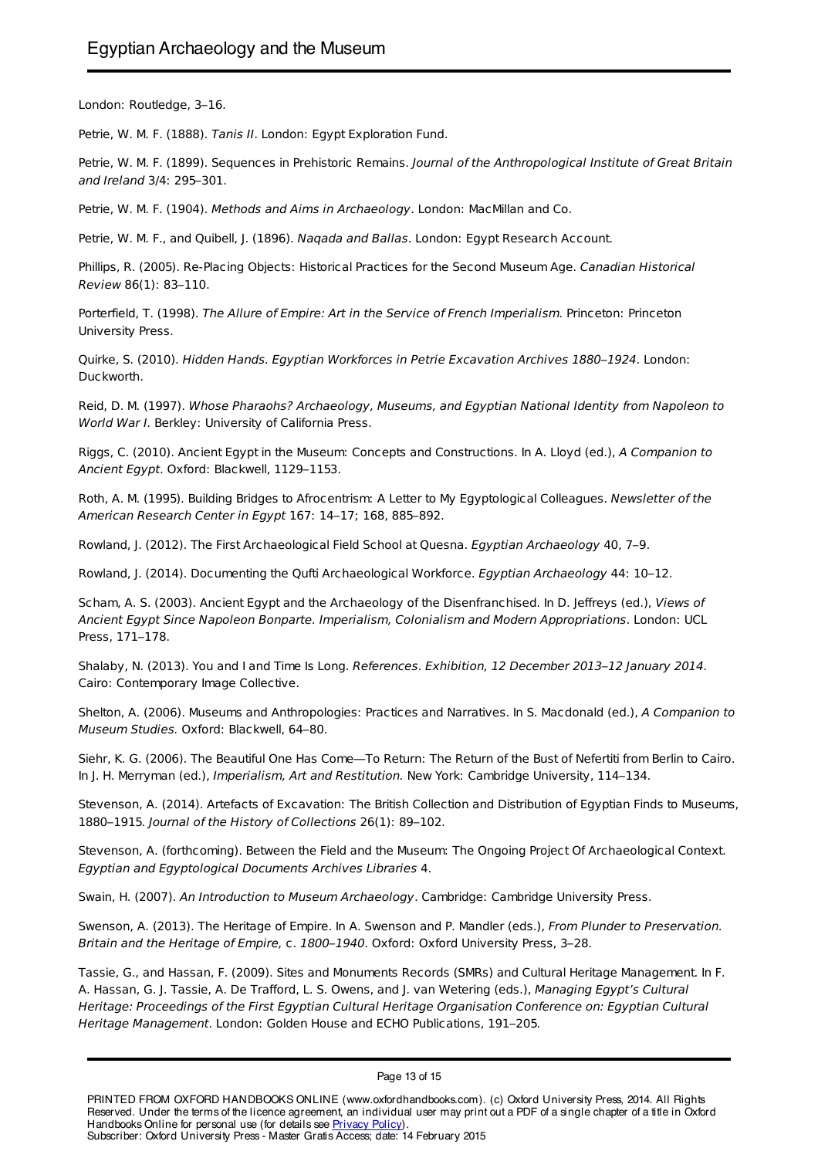London: Routledge, 3–16.

Petrie, W. M. F. (1888). Tanis II. London: Egypt Exploration Fund.

Petrie, W. M. F. (1899). Sequences in Prehistoric Remains. Journal of the Anthropological Institute of Great Britain and Ireland 3/4: 295–301.

Petrie, W. M. F. (1904). Methods and Aims in Archaeology. London: MacMillan and Co.

Petrie, W. M. F., and Quibell, J. (1896). Nagada and Ballas. London: Egypt Research Account.

Phillips, R. (2005). Re-Placing Objects: Historical Practices for the Second Museum Age. Canadian Historical Review 86(1): 83–110.

Porterfield, T. (1998). The Allure of Empire: Art in the Service of French Imperialism. Princeton: Princeton University Press.

Quirke, S. (2010). Hidden Hands. Egyptian Workforces in Petrie Excavation Archives 1880–1924. London: Duckworth.

Reid, D. M. (1997). Whose Pharaohs? Archaeology, Museums, and Egyptian National Identity from Napoleon to World War I. Berkley: University of California Press.

Riggs, C. (2010). Ancient Egypt in the Museum: Concepts and Constructions. In A. Lloyd (ed.), A Companion to Ancient Egypt. Oxford: Blackwell, 1129–1153.

Roth, A. M. (1995). Building Bridges to Afrocentrism: A Letter to My Egyptological Colleagues. Newsletter of the American Research Center in Egypt 167: 14–17; 168, 885–892.

Rowland, J. (2012). The First Archaeological Field School at Quesna. Egyptian Archaeology 40, 7–9.

Rowland, J. (2014). Documenting the Qufti Archaeological Workforce. Egyptian Archaeology 44: 10–12.

Scham, A. S. (2003). Ancient Egypt and the Archaeology of the Disenfranchised. In D. Jeffreys (ed.), Views of Ancient Egypt Since Napoleon Bonparte. Imperialism, Colonialism and Modern Appropriations. London: UCL Press, 171–178.

Shalaby, N. (2013). You and I and Time Is Long. References. Exhibition, 12 December 2013–12 January 2014. Cairo: Contemporary Image Collective.

Shelton, A. (2006). Museums and Anthropologies: Practices and Narratives. In S. Macdonald (ed.), A Companion to Museum Studies. Oxford: Blackwell, 64–80.

Siehr, K. G. (2006). The Beautiful One Has Come—To Return: The Return of the Bust of Nefertiti from Berlin to Cairo. In J. H. Merryman (ed.), Imperialism, Art and Restitution. New York: Cambridge University, 114–134.

Stevenson, A. (2014). Artefacts of Excavation: The British Collection and Distribution of Egyptian Finds to Museums, 1880–1915. Journal of the History of Collections 26(1): 89–102.

Stevenson, A. (forthcoming). Between the Field and the Museum: The Ongoing Project Of Archaeological Context. Egyptian and Egyptological Documents Archives Libraries 4.

Swain, H. (2007). An Introduction to Museum Archaeology. Cambridge: Cambridge University Press.

Swenson, A. (2013). The Heritage of Empire. In A. Swenson and P. Mandler (eds.), From Plunder to Preservation. Britain and the Heritage of Empire, c. 1800–1940. Oxford: Oxford University Press, 3–28.

Tassie, G., and Hassan, F. (2009). Sites and Monuments Records (SMRs) and Cultural Heritage Management. In F. A. Hassan, G. J. Tassie, A. De Trafford, L. S. Owens, and J. van Wetering (eds.), Managing Egypt's Cultural Heritage: Proceedings of the First Egyptian Cultural Heritage Organisation Conference on: Egyptian Cultural Heritage Management. London: Golden House and ECHO Publications, 191–205.

Page 13 of 15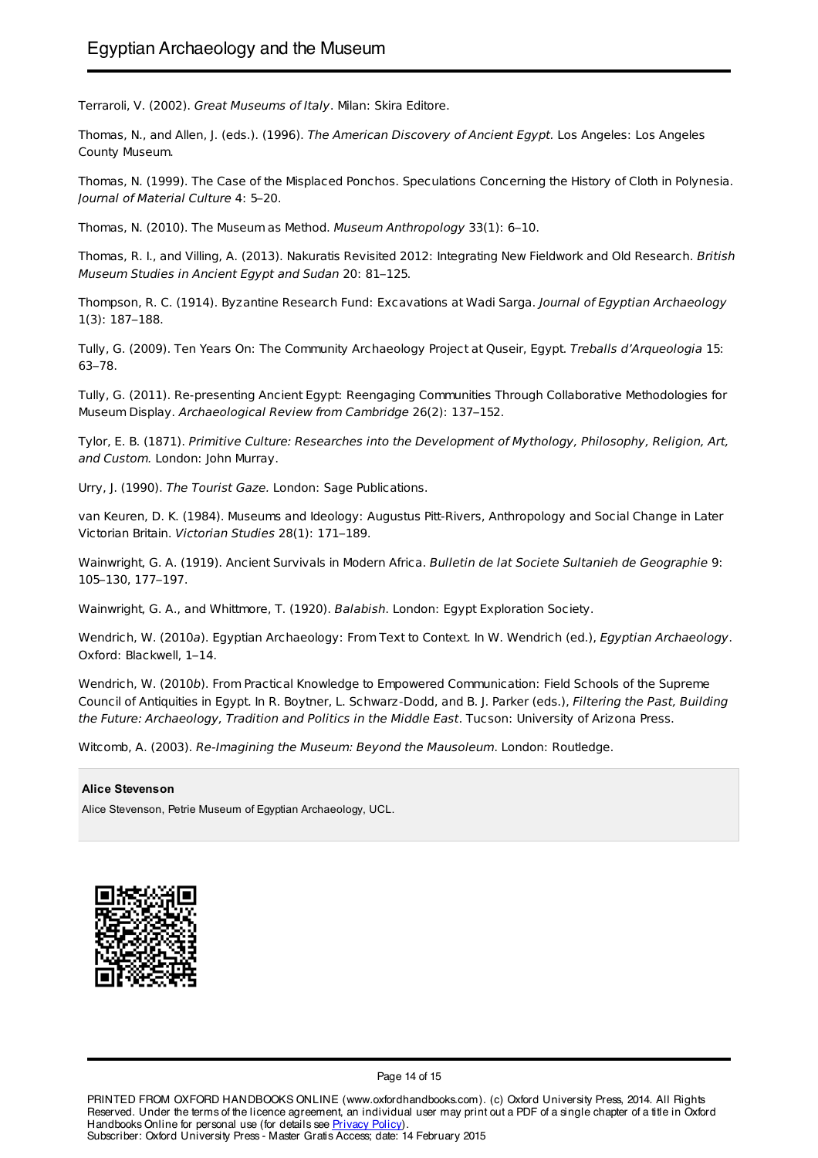Terraroli, V. (2002). Great Museums of Italy. Milan: Skira Editore.

Thomas, N., and Allen, J. (eds.). (1996). The American Discovery of Ancient Egypt. Los Angeles: Los Angeles County Museum.

Thomas, N. (1999). The Case of the Misplaced Ponchos. Speculations Concerning the History of Cloth in Polynesia. Journal of Material Culture 4: 5–20.

Thomas, N. (2010). The Museum as Method. Museum Anthropology 33(1): 6–10.

Thomas, R. I., and Villing, A. (2013). Nakuratis Revisited 2012: Integrating New Fieldwork and Old Research. British Museum Studies in Ancient Egypt and Sudan 20: 81–125.

Thompson, R. C. (1914). Byzantine Research Fund: Excavations at Wadi Sarga. Journal of Egyptian Archaeology 1(3): 187–188.

Tully, G. (2009). Ten Years On: The Community Archaeology Project at Quseir, Egypt. Treballs d'Arqueologia 15: 63–78.

Tully, G. (2011). Re-presenting Ancient Egypt: Reengaging Communities Through Collaborative Methodologies for Museum Display. Archaeological Review from Cambridge 26(2): 137–152.

Tylor, E. B. (1871). Primitive Culture: Researches into the Development of Mythology, Philosophy, Religion, Art, and Custom. London: John Murray.

Urry, J. (1990). The Tourist Gaze. London: Sage Publications.

van Keuren, D. K. (1984). Museums and Ideology: Augustus Pitt-Rivers, Anthropology and Social Change in Later Victorian Britain. Victorian Studies 28(1): 171–189.

Wainwright, G. A. (1919). Ancient Survivals in Modern Africa. Bulletin de lat Societe Sultanieh de Geographie 9: 105–130, 177–197.

Wainwright, G. A., and Whittmore, T. (1920). Balabish. London: Egypt Exploration Society.

Wendrich, W. (2010a). Egyptian Archaeology: From Text to Context. In W. Wendrich (ed.), Egyptian Archaeology. Oxford: Blackwell, 1–14.

Wendrich, W. (2010b). From Practical Knowledge to Empowered Communication: Field Schools of the Supreme Council of Antiquities in Egypt. In R. Boytner, L. Schwarz-Dodd, and B. I. Parker (eds.), *Filtering the Past, Building* the Future: Archaeology, Tradition and Politics in the Middle East. Tucson: University of Arizona Press.

Witcomb, A. (2003). Re-Imagining the Museum: Beyond the Mausoleum. London: Routledge.

#### **Alice Stevenson**

Alice Stevenson, Petrie Museum of Egyptian Archaeology, UCL.



Page 14 of 15